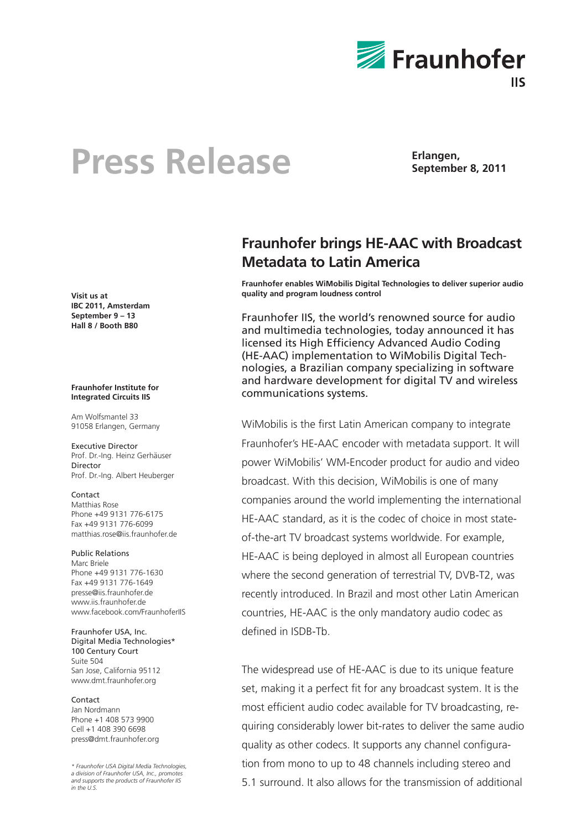

# **Press Release Erlangen**,

**September 8, 2011**

**Visit us at IBC 2011, Amsterdam September 9 – 13 Hall 8 / Booth B80**

### **Fraunhofer Institute for Integrated Circuits IIS**

Am Wolfsmantel 33 91058 Erlangen, Germany

Executive Director Prof. Dr.-Ing. Heinz Gerhäuser Director Prof. Dr.-Ing. Albert Heuberger

**Contact** Matthias Rose Phone +49 9131 776-6175 Fax +49 9131 776-6099 matthias.rose@iis.fraunhofer.de

## Public Relations Marc Briele Phone +49 9131 776-1630 Fax +49 9131 776-1649 presse@iis.fraunhofer.de www.jis.fraunhofer.de www.facebook.com/FraunhoferIIS

Fraunhofer USA, Inc. Digital Media Technologies\* 100 Century Court Suite 504 San Jose, California 95112 www.dmt.fraunhofer.org

# Contact

Jan Nordmann Phone +1 408 573 9900 Cell +1 408 390 6698 press@dmt.fraunhofer.org

*\* Fraunhofer USA Digital Media Technologies, a division of Fraunhofer USA, Inc., promotes and supports the products of Fraunhofer IIS in the U.S.*

# **Fraunhofer brings HE-AAC with Broadcast Metadata to Latin America**

**Fraunhofer enables WiMobilis Digital Technologies to deliver superior audio quality and program loudness control** 

Fraunhofer IIS, the world's renowned source for audio and multimedia technologies, today announced it has licensed its High Efficiency Advanced Audio Coding (HE-AAC) implementation to WiMobilis Digital Technologies, a Brazilian company specializing in software and hardware development for digital TV and wireless communications systems.

WiMobilis is the first Latin American company to integrate Fraunhofer's HE-AAC encoder with metadata support. It will power WiMobilis' WM-Encoder product for audio and video broadcast. With this decision, WiMobilis is one of many companies around the world implementing the international HE-AAC standard, as it is the codec of choice in most stateof-the-art TV broadcast systems worldwide. For example, HE-AAC is being deployed in almost all European countries where the second generation of terrestrial TV, DVB-T2, was recently introduced. In Brazil and most other Latin American countries, HE-AAC is the only mandatory audio codec as defined in ISDB-Tb.

The widespread use of HE-AAC is due to its unique feature set, making it a perfect fit for any broadcast system. It is the most efficient audio codec available for TV broadcasting, requiring considerably lower bit-rates to deliver the same audio quality as other codecs. It supports any channel configuration from mono to up to 48 channels including stereo and 5.1 surround. It also allows for the transmission of additional